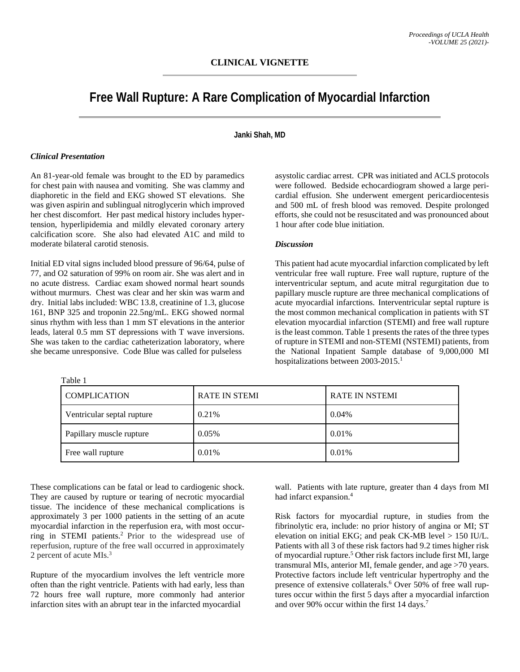# **Free Wall Rupture: A Rare Complication of Myocardial Infarction**

# **Janki Shah, MD**

### *Clinical Presentation*

An 81-year-old female was brought to the ED by paramedics for chest pain with nausea and vomiting. She was clammy and diaphoretic in the field and EKG showed ST elevations. She was given aspirin and sublingual nitroglycerin which improved her chest discomfort. Her past medical history includes hypertension, hyperlipidemia and mildly elevated coronary artery calcification score. She also had elevated A1C and mild to moderate bilateral carotid stenosis.

Initial ED vital signs included blood pressure of 96/64, pulse of 77, and O2 saturation of 99% on room air. She was alert and in no acute distress. Cardiac exam showed normal heart sounds without murmurs. Chest was clear and her skin was warm and dry. Initial labs included: WBC 13.8, creatinine of 1.3, glucose 161, BNP 325 and troponin 22.5ng/mL. EKG showed normal sinus rhythm with less than 1 mm ST elevations in the anterior leads, lateral 0.5 mm ST depressions with T wave inversions. She was taken to the cardiac catheterization laboratory, where she became unresponsive. Code Blue was called for pulseless

Table 1

asystolic cardiac arrest. CPR was initiated and ACLS protocols were followed. Bedside echocardiogram showed a large pericardial effusion. She underwent emergent pericardiocentesis and 500 mL of fresh blood was removed. Despite prolonged efforts, she could not be resuscitated and was pronounced about 1 hour after code blue initiation.

#### *Discussion*

This patient had acute myocardial infarction complicated by left ventricular free wall rupture. Free wall rupture, rupture of the interventricular septum, and acute mitral regurgitation due to papillary muscle rupture are three mechanical complications of acute myocardial infarctions. Interventricular septal rupture is the most common mechanical complication in patients with ST elevation myocardial infarction (STEMI) and free wall rupture is the least common. Table 1 presents the rates of the three types of rupture in STEMI and non-STEMI (NSTEMI) patients, from the National Inpatient Sample database of 9,000,000 MI hospitalizations between 2003-2015.<sup>1</sup>

| <b>COMPLICATION</b>        | <b>RATE IN STEMI</b> | <b>RATE IN NSTEMI</b> |
|----------------------------|----------------------|-----------------------|
| Ventricular septal rupture | 0.21%                | 0.04%                 |
| Papillary muscle rupture   | 0.05%                | 0.01%                 |
| Free wall rupture          | 0.01%                | 0.01%                 |

These complications can be fatal or lead to cardiogenic shock. They are caused by rupture or tearing of necrotic myocardial tissue. The incidence of these mechanical complications is approximately 3 per 1000 patients in the setting of an acute myocardial infarction in the reperfusion era, with most occurring in STEMI patients. <sup>2</sup> Prior to the widespread use of reperfusion, rupture of the free wall occurred in approximately 2 percent of acute MIs.3

Rupture of the myocardium involves the left ventricle more often than the right ventricle. Patients with had early, less than 72 hours free wall rupture, more commonly had anterior infarction sites with an abrupt tear in the infarcted myocardial

wall. Patients with late rupture, greater than 4 days from MI had infarct expansion.<sup>4</sup>

Risk factors for myocardial rupture, in studies from the fibrinolytic era, include: no prior history of angina or MI; ST elevation on initial EKG; and peak CK-MB level > 150 IU/L. Patients with all 3 of these risk factors had 9.2 times higher risk of myocardial rupture.5 Other risk factors include first MI, large transmural MIs, anterior MI, female gender, and age >70 years. Protective factors include left ventricular hypertrophy and the presence of extensive collaterals.6 Over 50% of free wall ruptures occur within the first 5 days after a myocardial infarction and over 90% occur within the first 14 days.7